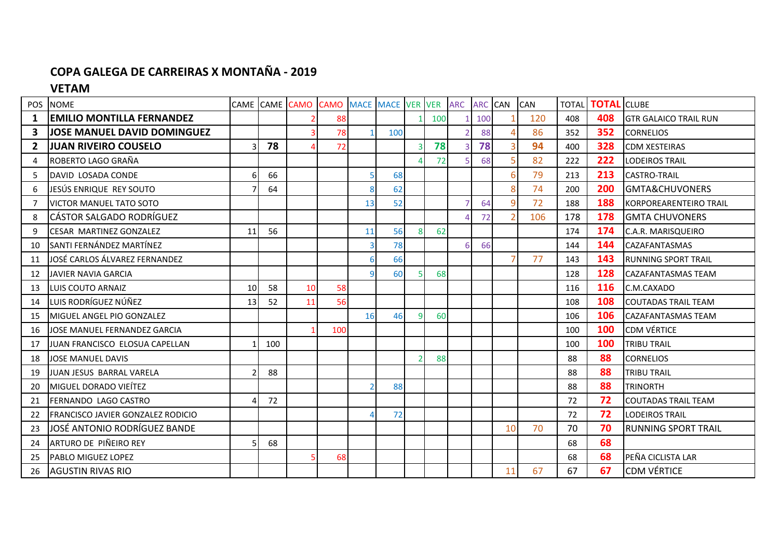## **COPA GALEGA DE CARREIRAS X MONTAÑA - 2019**

## **VETAM**

| <b>POS</b>     | <b>NOME</b>                              |                 |     | CAME CAME CAMO CAMO |     | MACE MACE VER VER ARC |     |                |     |   | <b>ARC CAN</b> |                | <b>CAN</b> | <b>TOTAL</b> | <b>TOTAI</b> | <b>CLUBE</b>                 |
|----------------|------------------------------------------|-----------------|-----|---------------------|-----|-----------------------|-----|----------------|-----|---|----------------|----------------|------------|--------------|--------------|------------------------------|
| 1              | <b>EMILIO MONTILLA FERNANDEZ</b>         |                 |     |                     | 88  |                       |     |                | 100 |   | 100            |                | 120        | 408          | 408          | <b>GTR GALAICO TRAIL RUN</b> |
| 3              | <b>JOSE MANUEL DAVID DOMINGUEZ</b>       |                 |     |                     | 78  |                       | 100 |                |     |   | 88             |                | 86         | 352          | 352          | <b>CORNELIOS</b>             |
| $\overline{2}$ | <b>JUAN RIVEIRO COUSELO</b>              |                 | 78  |                     | 72  |                       |     | ₹              | 78  |   | 78             | 3              | 94         | 400          | 328          | <b>CDM XESTEIRAS</b>         |
| 4              | ROBERTO LAGO GRAÑA                       |                 |     |                     |     |                       |     |                | 72  |   | 68             |                | 82         | 222          | 222          | <b>LODEIROS TRAIL</b>        |
| 5              | DAVID LOSADA CONDE                       | 6               | 66  |                     |     |                       | 68  |                |     |   |                |                | 79         | 213          | 213          | <b>CASTRO-TRAIL</b>          |
| 6              | JESÚS ENRIQUE REY SOUTO                  |                 | 64  |                     |     |                       | 62  |                |     |   |                | 8              | 74         | 200          | 200          | <b>GMTA&amp;CHUVONERS</b>    |
|                | <b>VICTOR MANUEL TATO SOTO</b>           |                 |     |                     |     | 13                    | 52  |                |     |   | 64             | 9              | 72         | 188          | 188          | KORPOREARENTEIRO TRAIL       |
| 8              | CÁSTOR SALGADO RODRÍGUEZ                 |                 |     |                     |     |                       |     |                |     |   | 72             |                | 106        | 178          | 178          | <b>GMTA CHUVONERS</b>        |
| 9              | CESAR MARTINEZ GONZALEZ                  | 11              | 56  |                     |     | 11                    | 56  | 8              | 62  |   |                |                |            | 174          | 174          | C.A.R. MARISQUEIRO           |
| 10             | SANTI FERNÁNDEZ MARTÍNEZ                 |                 |     |                     |     |                       | 78  |                |     | 6 | 66             |                |            | 144          | 144          | <b>CAZAFANTASMAS</b>         |
| 11             | JOSÉ CARLOS ÁLVAREZ FERNANDEZ            |                 |     |                     |     |                       | 66  |                |     |   |                | $\overline{7}$ | 77         | 143          | 143          | <b>IRUNNING SPORT TRAIL</b>  |
| 12             | <b>JAVIER NAVIA GARCIA</b>               |                 |     |                     |     | q                     | 60  |                | 68  |   |                |                |            | 128          | 128          | <b>CAZAFANTASMAS TEAM</b>    |
| 13             | LUIS COUTO ARNAIZ                        | 10 <sup>1</sup> | 58  | 10                  | 58  |                       |     |                |     |   |                |                |            | 116          | <b>116</b>   | C.M.CAXADO                   |
| 14             | LUIS RODRÍGUEZ NÚÑEZ                     | 13              | 52  | 11                  | 56  |                       |     |                |     |   |                |                |            | 108          | 108          | <b>COUTADAS TRAIL TEAM</b>   |
| 15             | MIGUEL ANGEL PIO GONZALEZ                |                 |     |                     |     | 16                    | 46  | 9              | 60  |   |                |                |            | 106          | 106          | <b>CAZAFANTASMAS TEAM</b>    |
| 16             | JOSE MANUEL FERNANDEZ GARCIA             |                 |     |                     | 100 |                       |     |                |     |   |                |                |            | 100          | 100          | <b>CDM VÉRTICE</b>           |
| 17             | JUAN FRANCISCO ELOSUA CAPELLAN           |                 | 100 |                     |     |                       |     |                |     |   |                |                |            | 100          | 100          | <b>TRIBU TRAIL</b>           |
| 18             | <b>JOSE MANUEL DAVIS</b>                 |                 |     |                     |     |                       |     | $\overline{2}$ | 88  |   |                |                |            | 88           | 88           | <b>CORNELIOS</b>             |
| 19             | <b>JUAN JESUS BARRAL VARELA</b>          |                 | 88  |                     |     |                       |     |                |     |   |                |                |            | 88           | 88           | <b>TRIBU TRAIL</b>           |
| 20             | <b>MIGUEL DORADO VIEÍTEZ</b>             |                 |     |                     |     |                       | 88  |                |     |   |                |                |            | 88           | 88           | <b>TRINORTH</b>              |
| 21             | FERNANDO LAGO CASTRO                     |                 | 72  |                     |     |                       |     |                |     |   |                |                |            | 72           | 72           | <b>COUTADAS TRAIL TEAM</b>   |
| 22             | <b>FRANCISCO JAVIER GONZALEZ RODICIO</b> |                 |     |                     |     |                       | 72  |                |     |   |                |                |            | 72           | 72           | <b>LODEIROS TRAIL</b>        |
| 23             | JOSÉ ANTONIO RODRÍGUEZ BANDE             |                 |     |                     |     |                       |     |                |     |   |                | 10             | 70         | 70           | 70           | <b>RUNNING SPORT TRAIL</b>   |
| 24             | ARTURO DE PIÑEIRO REY                    |                 | 68  |                     |     |                       |     |                |     |   |                |                |            | 68           | 68           |                              |
| 25             | <b>PABLO MIGUEZ LOPEZ</b>                |                 |     |                     | 68  |                       |     |                |     |   |                |                |            | 68           | 68           | PEÑA CICLISTA LAR            |
| 26             | <b>AGUSTIN RIVAS RIO</b>                 |                 |     |                     |     |                       |     |                |     |   |                | 11             | 67         | 67           | 67           | <b>CDM VÉRTICE</b>           |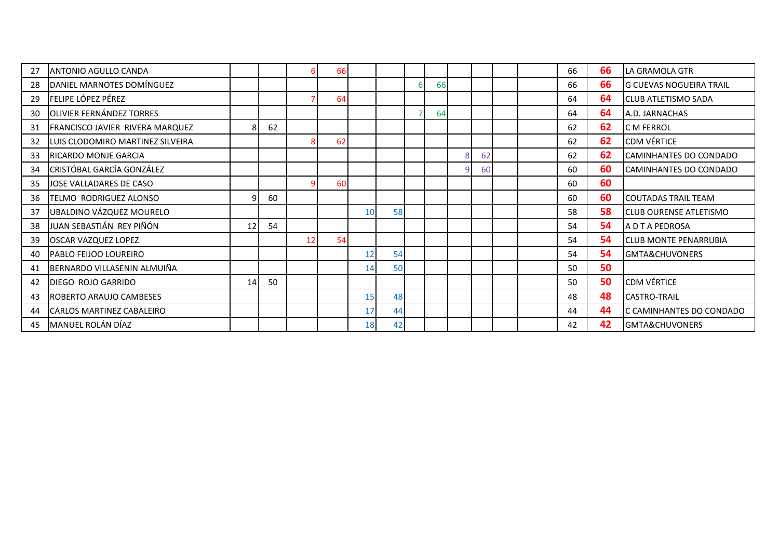| 27 | <b>ANTONIO AGULLO CANDA</b>      |    |    |    | 66 |    |    |                |    |    |  | 66 | 66 | <b>ILA GRAMOLA GTR</b>         |
|----|----------------------------------|----|----|----|----|----|----|----------------|----|----|--|----|----|--------------------------------|
| 28 | DANIEL MARNOTES DOMÍNGUEZ        |    |    |    |    |    |    | 6              | 66 |    |  | 66 | 66 | <b>G CUEVAS NOGUEIRA TRAIL</b> |
| 29 | <b>FELIPE LÓPEZ PÉREZ</b>        |    |    |    | 64 |    |    |                |    |    |  | 64 | 64 | <b>CLUB ATLETISMO SADA</b>     |
| 30 | OLIVIER FERNÁNDEZ TORRES         |    |    |    |    |    |    | $\overline{7}$ | 64 |    |  | 64 | 64 | A.D. JARNACHAS                 |
| 31 | FRANCISCO JAVIER RIVERA MARQUEZ  |    | 62 |    |    |    |    |                |    |    |  | 62 | 62 | <b>IC M FERROL</b>             |
| 32 | LUIS CLODOMIRO MARTINEZ SILVEIRA |    |    |    | 62 |    |    |                |    |    |  | 62 | 62 | <b>CDM VÉRTICE</b>             |
| 33 | <b>RICARDO MONJE GARCIA</b>      |    |    |    |    |    |    |                |    | 62 |  | 62 | 62 | CAMINHANTES DO CONDADO         |
| 34 | CRISTÓBAL GARCÍA GONZÁLEZ        |    |    |    |    |    |    |                |    | 60 |  | 60 | 60 | CAMINHANTES DO CONDADO         |
| 35 | JOSE VALLADARES DE CASO          |    |    |    | 60 |    |    |                |    |    |  | 60 | 60 |                                |
| 36 | TELMO RODRIGUEZ ALONSO           |    | 60 |    |    |    |    |                |    |    |  | 60 | 60 | <b>ICOUTADAS TRAIL TEAM</b>    |
| 37 | UBALDINO VÁZQUEZ MOURELO         |    |    |    |    | 10 | 58 |                |    |    |  | 58 | 58 | <b>CLUB OURENSE ATLETISMO</b>  |
| 38 | JUAN SEBASTIÁN REY PIÑÓN         | 12 | 54 |    |    |    |    |                |    |    |  | 54 | 54 | A D T A PEDROSA                |
| 39 | <b>OSCAR VAZQUEZ LOPEZ</b>       |    |    | 12 | 54 |    |    |                |    |    |  | 54 | 54 | <b>CLUB MONTE PENARRUBIA</b>   |
| 40 | PABLO FEIJOO LOUREIRO            |    |    |    |    | 12 | 54 |                |    |    |  | 54 | 54 | GMTA&CHUVONERS                 |
| 41 | BERNARDO VILLASENIN ALMUIÑA      |    |    |    |    | 14 | 50 |                |    |    |  | 50 | 50 |                                |
| 42 | DIEGO ROJO GARRIDO               | 14 | 50 |    |    |    |    |                |    |    |  | 50 | 50 | <b>CDM VÉRTICE</b>             |
| 43 | <b>ROBERTO ARAUJO CAMBESES</b>   |    |    |    |    | 15 | 48 |                |    |    |  | 48 | 48 | <b>CASTRO-TRAIL</b>            |
| 44 | <b>CARLOS MARTINEZ CABALEIRO</b> |    |    |    |    | 17 | 44 |                |    |    |  | 44 | 44 | C CAMINHANTES DO CONDADO       |
| 45 | MANUEL ROLÁN DÍAZ                |    |    |    |    | 18 | 42 |                |    |    |  | 42 | 42 | GMTA&CHUVONERS                 |